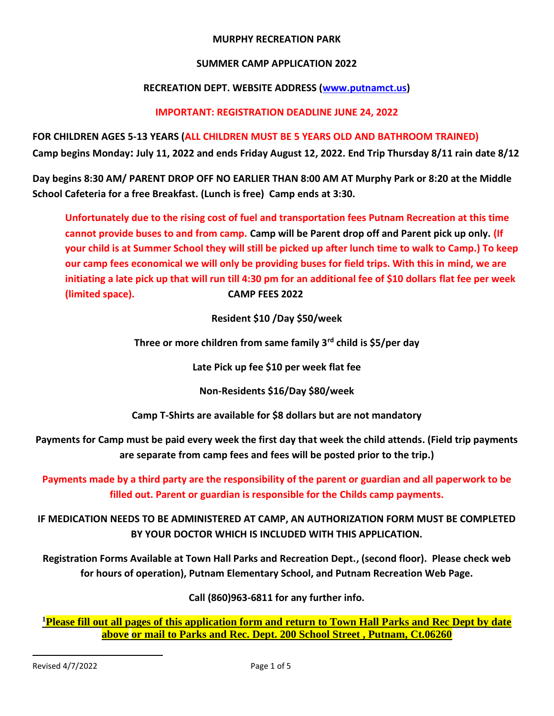#### **MURPHY RECREATION PARK**

#### **SUMMER CAMP APPLICATION 2022**

#### **RECREATION DEPT. WEBSITE ADDRESS [\(www.putnamct.us\)](http://www.putnamct.us/)**

### **IMPORTANT: REGISTRATION DEADLINE JUNE 24, 2022**

**FOR CHILDREN AGES 5-13 YEARS (ALL CHILDREN MUST BE 5 YEARS OLD AND BATHROOM TRAINED) Camp begins Monday: July 11, 2022 and ends Friday August 12, 2022. End Trip Thursday 8/11 rain date 8/12**

**Day begins 8:30 AM/ PARENT DROP OFF NO EARLIER THAN 8:00 AM AT Murphy Park or 8:20 at the Middle School Cafeteria for a free Breakfast. (Lunch is free) Camp ends at 3:30.** 

**Unfortunately due to the rising cost of fuel and transportation fees Putnam Recreation at this time cannot provide buses to and from camp. Camp will be Parent drop off and Parent pick up only. (If your child is at Summer School they will still be picked up after lunch time to walk to Camp.) To keep our camp fees economical we will only be providing buses for field trips. With this in mind, we are initiating a late pick up that will run till 4:30 pm for an additional fee of \$10 dollars flat fee per week (limited space). CAMP FEES 2022**

**Resident \$10 /Day \$50/week**

**Three or more children from same family 3rd child is \$5/per day**

**Late Pick up fee \$10 per week flat fee**

**Non-Residents \$16/Day \$80/week**

**Camp T-Shirts are available for \$8 dollars but are not mandatory**

**Payments for Camp must be paid every week the first day that week the child attends. (Field trip payments are separate from camp fees and fees will be posted prior to the trip.)**

**Payments made by a third party are the responsibility of the parent or guardian and all paperwork to be filled out. Parent or guardian is responsible for the Childs camp payments.**

**IF MEDICATION NEEDS TO BE ADMINISTERED AT CAMP, AN AUTHORIZATION FORM MUST BE COMPLETED BY YOUR DOCTOR WHICH IS INCLUDED WITH THIS APPLICATION.**

**Registration Forms Available at Town Hall Parks and Recreation Dept., (second floor). Please check web for hours of operation), Putnam Elementary School, and Putnam Recreation Web Page.** 

**Call (860)963-6811 for any further info.**

**<sup>1</sup>Please fill out all pages of this application form and return to Town Hall Parks and Rec Dept by date above or mail to Parks and Rec. Dept. 200 School Street , Putnam, Ct.06260**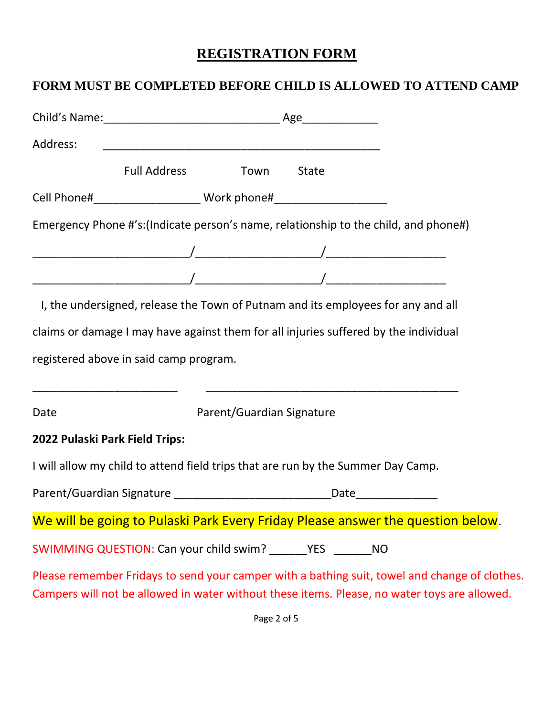# **REGISTRATION FORM**

## **FORM MUST BE COMPLETED BEFORE CHILD IS ALLOWED TO ATTEND CAMP**

| Address:                       |                                                                                      |                           |       |                                                                                                                                                                                               |
|--------------------------------|--------------------------------------------------------------------------------------|---------------------------|-------|-----------------------------------------------------------------------------------------------------------------------------------------------------------------------------------------------|
|                                | <b>Full Address</b>                                                                  | Town                      | State |                                                                                                                                                                                               |
|                                |                                                                                      |                           |       |                                                                                                                                                                                               |
|                                | Emergency Phone #'s:(Indicate person's name, relationship to the child, and phone#)  |                           |       |                                                                                                                                                                                               |
|                                |                                                                                      |                           |       |                                                                                                                                                                                               |
|                                |                                                                                      |                           |       |                                                                                                                                                                                               |
|                                | I, the undersigned, release the Town of Putnam and its employees for any and all     |                           |       |                                                                                                                                                                                               |
|                                | claims or damage I may have against them for all injuries suffered by the individual |                           |       |                                                                                                                                                                                               |
|                                | registered above in said camp program.                                               |                           |       |                                                                                                                                                                                               |
| Date                           |                                                                                      | Parent/Guardian Signature |       |                                                                                                                                                                                               |
| 2022 Pulaski Park Field Trips: |                                                                                      |                           |       |                                                                                                                                                                                               |
|                                | I will allow my child to attend field trips that are run by the Summer Day Camp.     |                           |       |                                                                                                                                                                                               |
|                                |                                                                                      |                           |       |                                                                                                                                                                                               |
|                                |                                                                                      |                           |       | We will be going to Pulaski Park Every Friday Please answer the question below.                                                                                                               |
|                                | SWIMMING QUESTION: Can your child swim? _______YES ________NO                        |                           |       |                                                                                                                                                                                               |
|                                |                                                                                      |                           |       | Please remember Fridays to send your camper with a bathing suit, towel and change of clothes.<br>Campers will not be allowed in water without these items. Please, no water toys are allowed. |

Page 2 of 5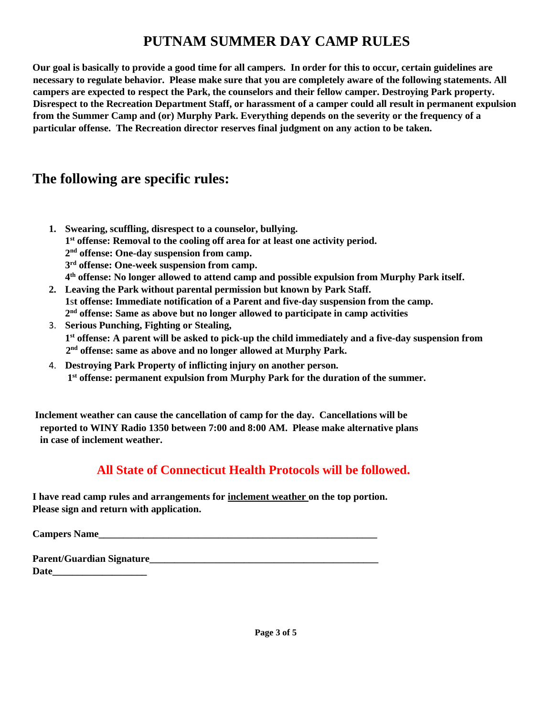# **PUTNAM SUMMER DAY CAMP RULES**

**Our goal is basically to provide a good time for all campers. In order for this to occur, certain guidelines are necessary to regulate behavior. Please make sure that you are completely aware of the following statements. All campers are expected to respect the Park, the counselors and their fellow camper. Destroying Park property. Disrespect to the Recreation Department Staff, or harassment of a camper could all result in permanent expulsion from the Summer Camp and (or) Murphy Park. Everything depends on the severity or the frequency of a particular offense. The Recreation director reserves final judgment on any action to be taken.** 

## **The following are specific rules:**

- **1. Swearing, scuffling, disrespect to a counselor, bullying.** 
	- **1 st offense: Removal to the cooling off area for at least one activity period.**
	- **2 nd offense: One-day suspension from camp.**
	- **3 rd offense: One-week suspension from camp.**
	- **4 th offense: No longer allowed to attend camp and possible expulsion from Murphy Park itself.**
- **2. Leaving the Park without parental permission but known by Park Staff. 1**s**t offense: Immediate notification of a Parent and five-day suspension from the camp. 2 nd offense: Same as above but no longer allowed to participate in camp activities**
- 3. **Serious Punching, Fighting or Stealing, 1 st offense: A parent will be asked to pick-up the child immediately and a five-day suspension from 2 nd offense: same as above and no longer allowed at Murphy Park.**
- 4. **Destroying Park Property of inflicting injury on another person. 1 st offense: permanent expulsion from Murphy Park for the duration of the summer.**

**Inclement weather can cause the cancellation of camp for the day. Cancellations will be reported to WINY Radio 1350 between 7:00 and 8:00 AM. Please make alternative plans in case of inclement weather.** 

## **All State of Connecticut Health Protocols will be followed.**

**I have read camp rules and arrangements for inclement weather on the top portion. Please sign and return with application.**

**Campers Name\_\_\_\_\_\_\_\_\_\_\_\_\_\_\_\_\_\_\_\_\_\_\_\_\_\_\_\_\_\_\_\_\_\_\_\_\_\_\_\_\_\_\_\_\_\_\_\_\_\_\_\_\_\_\_\_**

| <b>Parent/Guardian Signature_</b> |  |
|-----------------------------------|--|
| Date                              |  |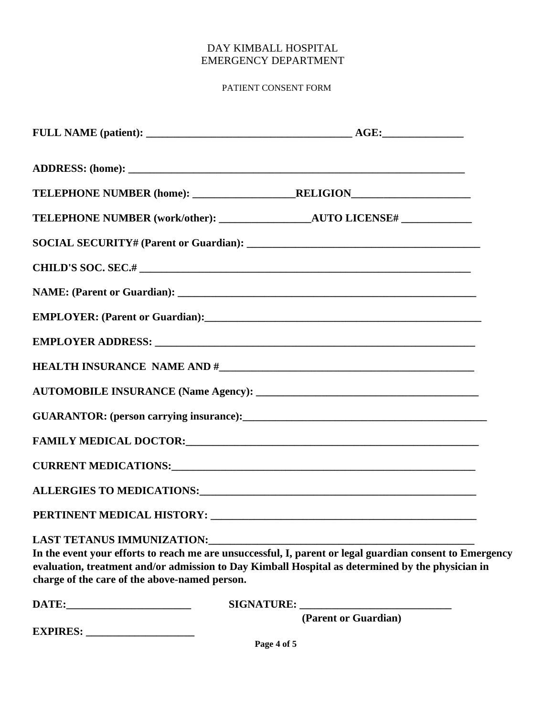### DAY KIMBALL HOSPITAL EMERGENCY DEPARTMENT

### PATIENT CONSENT FORM

|                                                                                                                                                                                                                                |  | FAMILY MEDICAL DOCTOR: University of the contract of the contract of the contract of the contract of the contract of the contract of the contract of the contract of the contract of the contract of the contract of the contr |  |
|--------------------------------------------------------------------------------------------------------------------------------------------------------------------------------------------------------------------------------|--|--------------------------------------------------------------------------------------------------------------------------------------------------------------------------------------------------------------------------------|--|
|                                                                                                                                                                                                                                |  |                                                                                                                                                                                                                                |  |
|                                                                                                                                                                                                                                |  |                                                                                                                                                                                                                                |  |
|                                                                                                                                                                                                                                |  |                                                                                                                                                                                                                                |  |
| LAST TETANUS IMMUNIZATION: UNITED ACCEPTANCE OF THE PART OF THE PART OF THE PART OF THE PART OF THE PART OF THE PART OF THE PART OF THE PART OF THE PART OF THE PART OF THE PART OF THE PART OF THE PART OF THE PART OF THE PA |  |                                                                                                                                                                                                                                |  |
|                                                                                                                                                                                                                                |  | In the event your efforts to reach me are unsuccessful, I, parent or legal guardian consent to Emergency                                                                                                                       |  |
| charge of the care of the above-named person.                                                                                                                                                                                  |  | evaluation, treatment and/or admission to Day Kimball Hospital as determined by the physician in                                                                                                                               |  |
|                                                                                                                                                                                                                                |  |                                                                                                                                                                                                                                |  |
| <b>EXPIRES:</b>                                                                                                                                                                                                                |  | (Parent or Guardian)                                                                                                                                                                                                           |  |
|                                                                                                                                                                                                                                |  |                                                                                                                                                                                                                                |  |